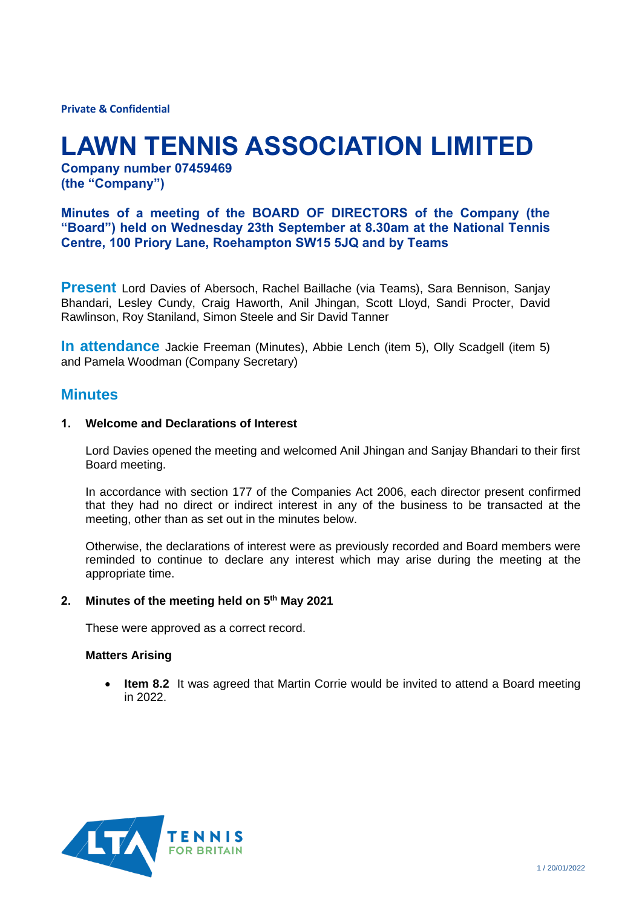**Private & Confidential**

# **LAWN TENNIS ASSOCIATION LIMITED**

**Company number 07459469 (the "Company")**

**Minutes of a meeting of the BOARD OF DIRECTORS of the Company (the "Board") held on Wednesday 23th September at 8.30am at the National Tennis Centre, 100 Priory Lane, Roehampton SW15 5JQ and by Teams**

**Present** Lord Davies of Abersoch, Rachel Baillache (via Teams), Sara Bennison, Sanjay Bhandari, Lesley Cundy, Craig Haworth, Anil Jhingan, Scott Lloyd, Sandi Procter, David Rawlinson, Roy Staniland, Simon Steele and Sir David Tanner

**In attendance** Jackie Freeman (Minutes), Abbie Lench (item 5), Olly Scadgell (item 5) and Pamela Woodman (Company Secretary)

# **Minutes**

# **1. Welcome and Declarations of Interest**

Lord Davies opened the meeting and welcomed Anil Jhingan and Sanjay Bhandari to their first Board meeting.

In accordance with section 177 of the Companies Act 2006, each director present confirmed that they had no direct or indirect interest in any of the business to be transacted at the meeting, other than as set out in the minutes below.

Otherwise, the declarations of interest were as previously recorded and Board members were reminded to continue to declare any interest which may arise during the meeting at the appropriate time.

#### **2. Minutes of the meeting held on 5th May 2021**

These were approved as a correct record.

#### **Matters Arising**

• **Item 8.2** It was agreed that Martin Corrie would be invited to attend a Board meeting in 2022.

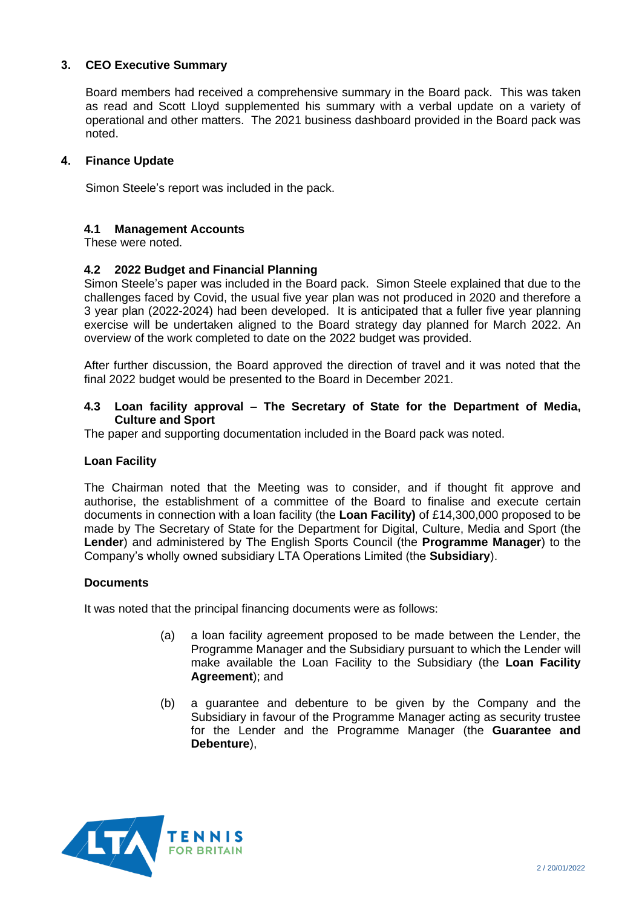# **3. CEO Executive Summary**

Board members had received a comprehensive summary in the Board pack. This was taken as read and Scott Lloyd supplemented his summary with a verbal update on a variety of operational and other matters. The 2021 business dashboard provided in the Board pack was noted.

# **4. Finance Update**

Simon Steele's report was included in the pack.

# **4.1 Management Accounts**

These were noted.

# **4.2 2022 Budget and Financial Planning**

Simon Steele's paper was included in the Board pack. Simon Steele explained that due to the challenges faced by Covid, the usual five year plan was not produced in 2020 and therefore a 3 year plan (2022-2024) had been developed. It is anticipated that a fuller five year planning exercise will be undertaken aligned to the Board strategy day planned for March 2022. An overview of the work completed to date on the 2022 budget was provided.

After further discussion, the Board approved the direction of travel and it was noted that the final 2022 budget would be presented to the Board in December 2021.

#### **4.3 Loan facility approval – The Secretary of State for the Department of Media, Culture and Sport**

The paper and supporting documentation included in the Board pack was noted.

#### **Loan Facility**

The Chairman noted that the Meeting was to consider, and if thought fit approve and authorise, the establishment of a committee of the Board to finalise and execute certain documents in connection with a loan facility (the **Loan Facility)** of £14,300,000 proposed to be made by The Secretary of State for the Department for Digital, Culture, Media and Sport (the **Lender**) and administered by The English Sports Council (the **Programme Manager**) to the Company's wholly owned subsidiary LTA Operations Limited (the **Subsidiary**).

#### **Documents**

It was noted that the principal financing documents were as follows:

- (a) a loan facility agreement proposed to be made between the Lender, the Programme Manager and the Subsidiary pursuant to which the Lender will make available the Loan Facility to the Subsidiary (the **Loan Facility Agreement**); and
- (b) a guarantee and debenture to be given by the Company and the Subsidiary in favour of the Programme Manager acting as security trustee for the Lender and the Programme Manager (the **Guarantee and Debenture**),

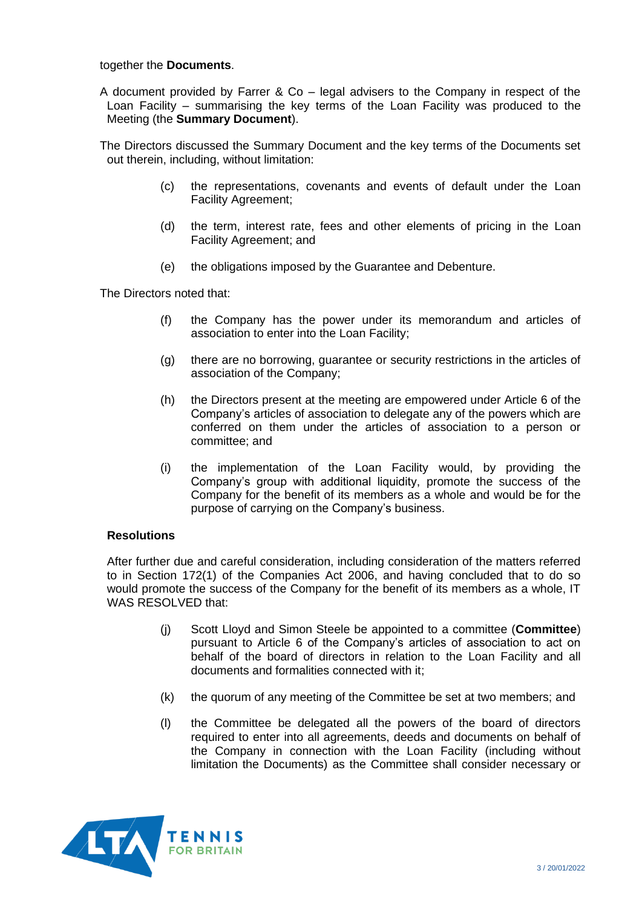# together the **Documents**.

A document provided by Farrer & Co – legal advisers to the Company in respect of the Loan Facility – summarising the key terms of the Loan Facility was produced to the Meeting (the **Summary Document**).

The Directors discussed the Summary Document and the key terms of the Documents set out therein, including, without limitation:

- (c) the representations, covenants and events of default under the Loan Facility Agreement;
- (d) the term, interest rate, fees and other elements of pricing in the Loan Facility Agreement; and
- (e) the obligations imposed by the Guarantee and Debenture.

The Directors noted that:

- (f) the Company has the power under its memorandum and articles of association to enter into the Loan Facility;
- (g) there are no borrowing, guarantee or security restrictions in the articles of association of the Company;
- (h) the Directors present at the meeting are empowered under Article 6 of the Company's articles of association to delegate any of the powers which are conferred on them under the articles of association to a person or committee; and
- (i) the implementation of the Loan Facility would, by providing the Company's group with additional liquidity, promote the success of the Company for the benefit of its members as a whole and would be for the purpose of carrying on the Company's business.

#### **Resolutions**

After further due and careful consideration, including consideration of the matters referred to in Section 172(1) of the Companies Act 2006, and having concluded that to do so would promote the success of the Company for the benefit of its members as a whole, IT WAS RESOLVED that:

- (j) Scott Lloyd and Simon Steele be appointed to a committee (**Committee**) pursuant to Article 6 of the Company's articles of association to act on behalf of the board of directors in relation to the Loan Facility and all documents and formalities connected with it;
- (k) the quorum of any meeting of the Committee be set at two members; and
- (l) the Committee be delegated all the powers of the board of directors required to enter into all agreements, deeds and documents on behalf of the Company in connection with the Loan Facility (including without limitation the Documents) as the Committee shall consider necessary or

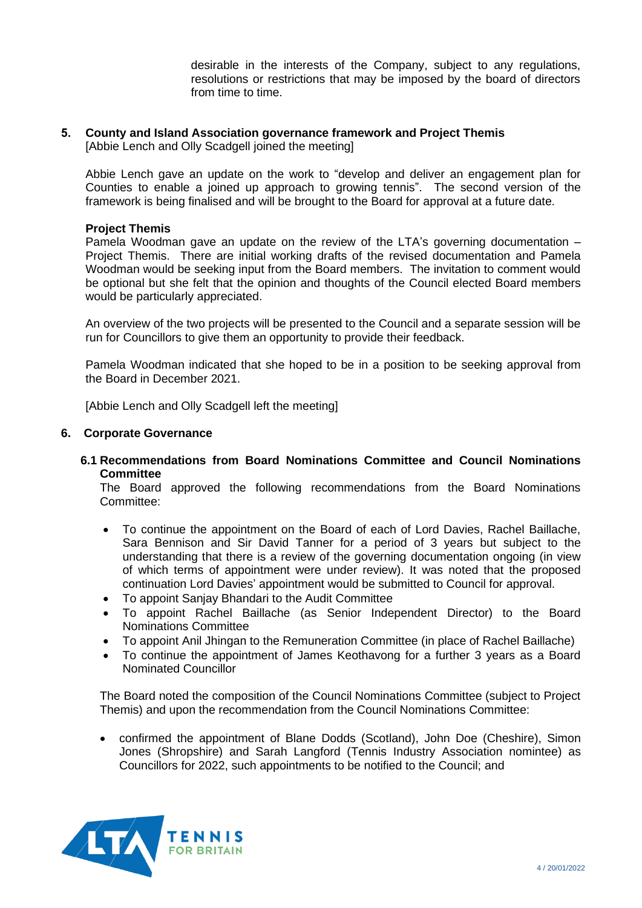desirable in the interests of the Company, subject to any regulations, resolutions or restrictions that may be imposed by the board of directors from time to time.

# **5. County and Island Association governance framework and Project Themis**

[Abbie Lench and Olly Scadgell joined the meeting]

Abbie Lench gave an update on the work to "develop and deliver an engagement plan for Counties to enable a joined up approach to growing tennis". The second version of the framework is being finalised and will be brought to the Board for approval at a future date.

# **Project Themis**

Pamela Woodman gave an update on the review of the LTA's governing documentation – Project Themis. There are initial working drafts of the revised documentation and Pamela Woodman would be seeking input from the Board members. The invitation to comment would be optional but she felt that the opinion and thoughts of the Council elected Board members would be particularly appreciated.

An overview of the two projects will be presented to the Council and a separate session will be run for Councillors to give them an opportunity to provide their feedback.

Pamela Woodman indicated that she hoped to be in a position to be seeking approval from the Board in December 2021.

[Abbie Lench and Olly Scadgell left the meeting]

# **6. Corporate Governance**

**6.1 Recommendations from Board Nominations Committee and Council Nominations Committee**

The Board approved the following recommendations from the Board Nominations Committee:

- To continue the appointment on the Board of each of Lord Davies, Rachel Baillache, Sara Bennison and Sir David Tanner for a period of 3 years but subject to the understanding that there is a review of the governing documentation ongoing (in view of which terms of appointment were under review). It was noted that the proposed continuation Lord Davies' appointment would be submitted to Council for approval.
- To appoint Sanjay Bhandari to the Audit Committee
- To appoint Rachel Baillache (as Senior Independent Director) to the Board Nominations Committee
- To appoint Anil Jhingan to the Remuneration Committee (in place of Rachel Baillache)
- To continue the appointment of James Keothavong for a further 3 years as a Board Nominated Councillor

The Board noted the composition of the Council Nominations Committee (subject to Project Themis) and upon the recommendation from the Council Nominations Committee:

• confirmed the appointment of Blane Dodds (Scotland), John Doe (Cheshire), Simon Jones (Shropshire) and Sarah Langford (Tennis Industry Association nomintee) as Councillors for 2022, such appointments to be notified to the Council; and